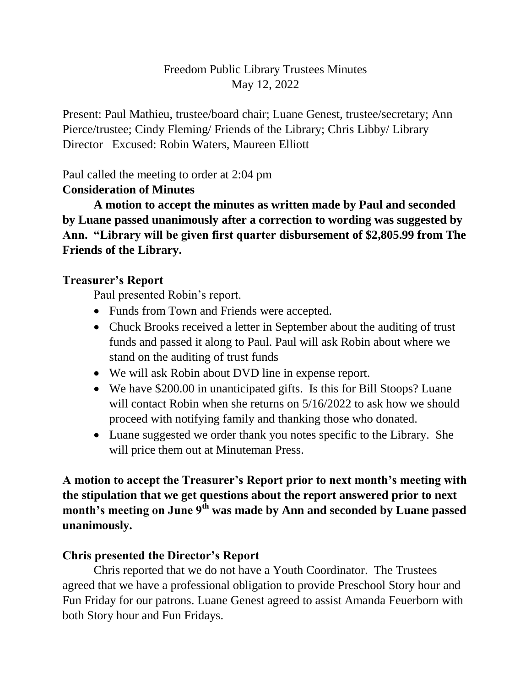### Freedom Public Library Trustees Minutes May 12, 2022

Present: Paul Mathieu, trustee/board chair; Luane Genest, trustee/secretary; Ann Pierce/trustee; Cindy Fleming/ Friends of the Library; Chris Libby/ Library Director Excused: Robin Waters, Maureen Elliott

Paul called the meeting to order at 2:04 pm

### **Consideration of Minutes**

**A motion to accept the minutes as written made by Paul and seconded by Luane passed unanimously after a correction to wording was suggested by Ann. "Library will be given first quarter disbursement of \$2,805.99 from The Friends of the Library.**

## **Treasurer's Report**

Paul presented Robin's report.

- Funds from Town and Friends were accepted.
- Chuck Brooks received a letter in September about the auditing of trust funds and passed it along to Paul. Paul will ask Robin about where we stand on the auditing of trust funds
- We will ask Robin about DVD line in expense report.
- We have \$200.00 in unanticipated gifts. Is this for Bill Stoops? Luane will contact Robin when she returns on  $5/16/2022$  to ask how we should proceed with notifying family and thanking those who donated.
- Luane suggested we order thank you notes specific to the Library. She will price them out at Minuteman Press.

**A motion to accept the Treasurer's Report prior to next month's meeting with the stipulation that we get questions about the report answered prior to next month's meeting on June 9th was made by Ann and seconded by Luane passed unanimously.**

### **Chris presented the Director's Report**

Chris reported that we do not have a Youth Coordinator. The Trustees agreed that we have a professional obligation to provide Preschool Story hour and Fun Friday for our patrons. Luane Genest agreed to assist Amanda Feuerborn with both Story hour and Fun Fridays.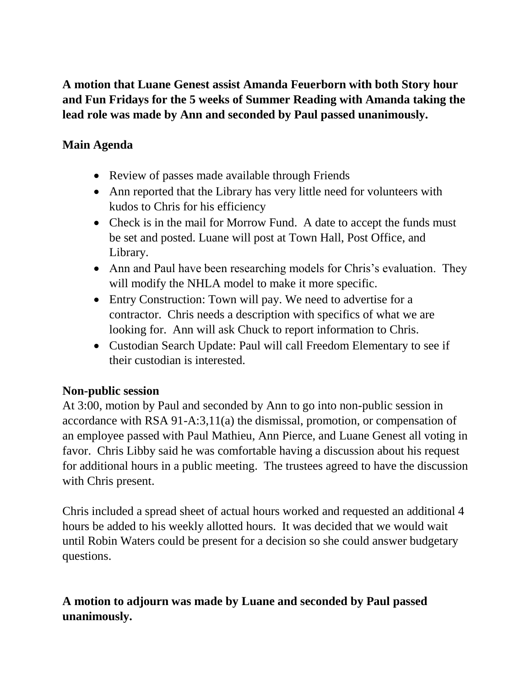**A motion that Luane Genest assist Amanda Feuerborn with both Story hour and Fun Fridays for the 5 weeks of Summer Reading with Amanda taking the lead role was made by Ann and seconded by Paul passed unanimously.**

### **Main Agenda**

- Review of passes made available through Friends
- Ann reported that the Library has very little need for volunteers with kudos to Chris for his efficiency
- Check is in the mail for Morrow Fund. A date to accept the funds must be set and posted. Luane will post at Town Hall, Post Office, and Library.
- Ann and Paul have been researching models for Chris's evaluation. They will modify the NHLA model to make it more specific.
- Entry Construction: Town will pay. We need to advertise for a contractor. Chris needs a description with specifics of what we are looking for. Ann will ask Chuck to report information to Chris.
- Custodian Search Update: Paul will call Freedom Elementary to see if their custodian is interested.

### **Non-public session**

At 3:00, motion by Paul and seconded by Ann to go into non-public session in accordance with RSA 91-A:3,11(a) the dismissal, promotion, or compensation of an employee passed with Paul Mathieu, Ann Pierce, and Luane Genest all voting in favor. Chris Libby said he was comfortable having a discussion about his request for additional hours in a public meeting. The trustees agreed to have the discussion with Chris present.

Chris included a spread sheet of actual hours worked and requested an additional 4 hours be added to his weekly allotted hours. It was decided that we would wait until Robin Waters could be present for a decision so she could answer budgetary questions.

# **A motion to adjourn was made by Luane and seconded by Paul passed unanimously.**